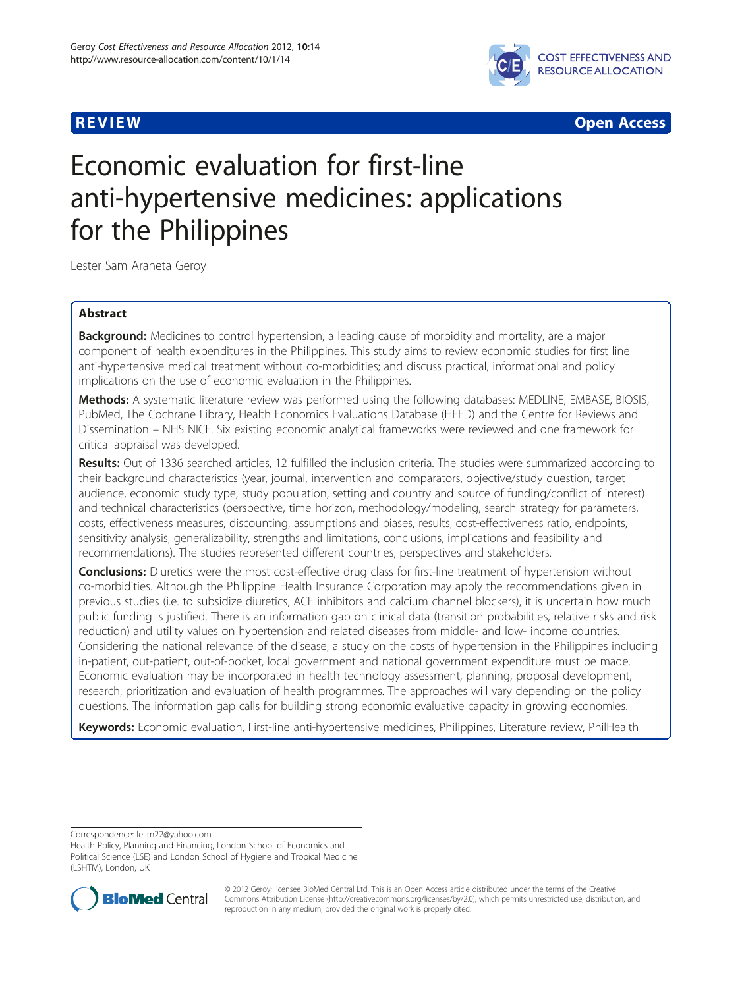



**REVIEW CONSULTANT CONTROL** 

# Economic evaluation for first-line anti-hypertensive medicines: applications for the Philippines

Lester Sam Araneta Geroy

# Abstract

Background: Medicines to control hypertension, a leading cause of morbidity and mortality, are a major component of health expenditures in the Philippines. This study aims to review economic studies for first line anti-hypertensive medical treatment without co-morbidities; and discuss practical, informational and policy implications on the use of economic evaluation in the Philippines.

Methods: A systematic literature review was performed using the following databases: MEDLINE, EMBASE, BIOSIS, PubMed, The Cochrane Library, Health Economics Evaluations Database (HEED) and the Centre for Reviews and Dissemination – NHS NICE. Six existing economic analytical frameworks were reviewed and one framework for critical appraisal was developed.

Results: Out of 1336 searched articles, 12 fulfilled the inclusion criteria. The studies were summarized according to their background characteristics (year, journal, intervention and comparators, objective/study question, target audience, economic study type, study population, setting and country and source of funding/conflict of interest) and technical characteristics (perspective, time horizon, methodology/modeling, search strategy for parameters, costs, effectiveness measures, discounting, assumptions and biases, results, cost-effectiveness ratio, endpoints, sensitivity analysis, generalizability, strengths and limitations, conclusions, implications and feasibility and recommendations). The studies represented different countries, perspectives and stakeholders.

**Conclusions:** Diuretics were the most cost-effective drug class for first-line treatment of hypertension without co-morbidities. Although the Philippine Health Insurance Corporation may apply the recommendations given in previous studies (i.e. to subsidize diuretics, ACE inhibitors and calcium channel blockers), it is uncertain how much public funding is justified. There is an information gap on clinical data (transition probabilities, relative risks and risk reduction) and utility values on hypertension and related diseases from middle- and low- income countries. Considering the national relevance of the disease, a study on the costs of hypertension in the Philippines including in-patient, out-patient, out-of-pocket, local government and national government expenditure must be made. Economic evaluation may be incorporated in health technology assessment, planning, proposal development, research, prioritization and evaluation of health programmes. The approaches will vary depending on the policy questions. The information gap calls for building strong economic evaluative capacity in growing economies.

Keywords: Economic evaluation, First-line anti-hypertensive medicines, Philippines, Literature review, PhilHealth

Correspondence: [lelim22@yahoo.com](mailto:lelim22@yahoo.com)

Health Policy, Planning and Financing, London School of Economics and Political Science (LSE) and London School of Hygiene and Tropical Medicine (LSHTM), London, UK



© 2012 Geroy; licensee BioMed Central Ltd. This is an Open Access article distributed under the terms of the Creative Commons Attribution License [\(http://creativecommons.org/licenses/by/2.0\)](http://creativecommons.org/licenses/by/2.0), which permits unrestricted use, distribution, and reproduction in any medium, provided the original work is properly cited.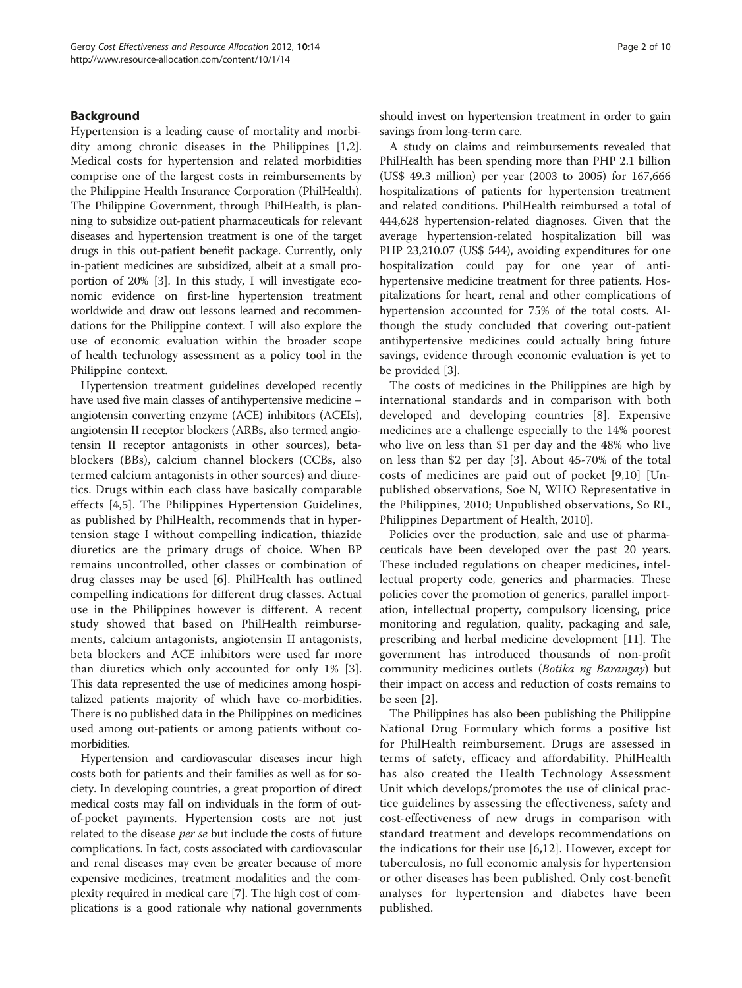## Background

Hypertension is a leading cause of mortality and morbidity among chronic diseases in the Philippines [\[1,2](#page-8-0)]. Medical costs for hypertension and related morbidities comprise one of the largest costs in reimbursements by the Philippine Health Insurance Corporation (PhilHealth). The Philippine Government, through PhilHealth, is planning to subsidize out-patient pharmaceuticals for relevant diseases and hypertension treatment is one of the target drugs in this out-patient benefit package. Currently, only in-patient medicines are subsidized, albeit at a small proportion of 20% [[3\]](#page-8-0). In this study, I will investigate economic evidence on first-line hypertension treatment worldwide and draw out lessons learned and recommendations for the Philippine context. I will also explore the use of economic evaluation within the broader scope of health technology assessment as a policy tool in the Philippine context.

Hypertension treatment guidelines developed recently have used five main classes of antihypertensive medicine – angiotensin converting enzyme (ACE) inhibitors (ACEIs), angiotensin II receptor blockers (ARBs, also termed angiotensin II receptor antagonists in other sources), betablockers (BBs), calcium channel blockers (CCBs, also termed calcium antagonists in other sources) and diuretics. Drugs within each class have basically comparable effects [[4,5](#page-8-0)]. The Philippines Hypertension Guidelines, as published by PhilHealth, recommends that in hypertension stage I without compelling indication, thiazide diuretics are the primary drugs of choice. When BP remains uncontrolled, other classes or combination of drug classes may be used [\[6](#page-8-0)]. PhilHealth has outlined compelling indications for different drug classes. Actual use in the Philippines however is different. A recent study showed that based on PhilHealth reimbursements, calcium antagonists, angiotensin II antagonists, beta blockers and ACE inhibitors were used far more than diuretics which only accounted for only 1% [[3](#page-8-0)]. This data represented the use of medicines among hospitalized patients majority of which have co-morbidities. There is no published data in the Philippines on medicines used among out-patients or among patients without comorbidities.

Hypertension and cardiovascular diseases incur high costs both for patients and their families as well as for society. In developing countries, a great proportion of direct medical costs may fall on individuals in the form of outof-pocket payments. Hypertension costs are not just related to the disease *per se* but include the costs of future complications. In fact, costs associated with cardiovascular and renal diseases may even be greater because of more expensive medicines, treatment modalities and the complexity required in medical care [[7\]](#page-8-0). The high cost of complications is a good rationale why national governments should invest on hypertension treatment in order to gain savings from long-term care.

A study on claims and reimbursements revealed that PhilHealth has been spending more than PHP 2.1 billion (US\$ 49.3 million) per year (2003 to 2005) for 167,666 hospitalizations of patients for hypertension treatment and related conditions. PhilHealth reimbursed a total of 444,628 hypertension-related diagnoses. Given that the average hypertension-related hospitalization bill was PHP 23,210.07 (US\$ 544), avoiding expenditures for one hospitalization could pay for one year of antihypertensive medicine treatment for three patients. Hospitalizations for heart, renal and other complications of hypertension accounted for 75% of the total costs. Although the study concluded that covering out-patient antihypertensive medicines could actually bring future savings, evidence through economic evaluation is yet to be provided [\[3](#page-8-0)].

The costs of medicines in the Philippines are high by international standards and in comparison with both developed and developing countries [\[8](#page-8-0)]. Expensive medicines are a challenge especially to the 14% poorest who live on less than \$1 per day and the 48% who live on less than \$2 per day [\[3](#page-8-0)]. About 45-70% of the total costs of medicines are paid out of pocket [[9](#page-8-0)[,10](#page-9-0)] [Unpublished observations, Soe N, WHO Representative in the Philippines, 2010; Unpublished observations, So RL, Philippines Department of Health, 2010].

Policies over the production, sale and use of pharmaceuticals have been developed over the past 20 years. These included regulations on cheaper medicines, intellectual property code, generics and pharmacies. These policies cover the promotion of generics, parallel importation, intellectual property, compulsory licensing, price monitoring and regulation, quality, packaging and sale, prescribing and herbal medicine development [\[11](#page-9-0)]. The government has introduced thousands of non-profit community medicines outlets (Botika ng Barangay) but their impact on access and reduction of costs remains to be seen [\[2](#page-8-0)].

The Philippines has also been publishing the Philippine National Drug Formulary which forms a positive list for PhilHealth reimbursement. Drugs are assessed in terms of safety, efficacy and affordability. PhilHealth has also created the Health Technology Assessment Unit which develops/promotes the use of clinical practice guidelines by assessing the effectiveness, safety and cost-effectiveness of new drugs in comparison with standard treatment and develops recommendations on the indications for their use [\[6](#page-8-0),[12\]](#page-9-0). However, except for tuberculosis, no full economic analysis for hypertension or other diseases has been published. Only cost-benefit analyses for hypertension and diabetes have been published.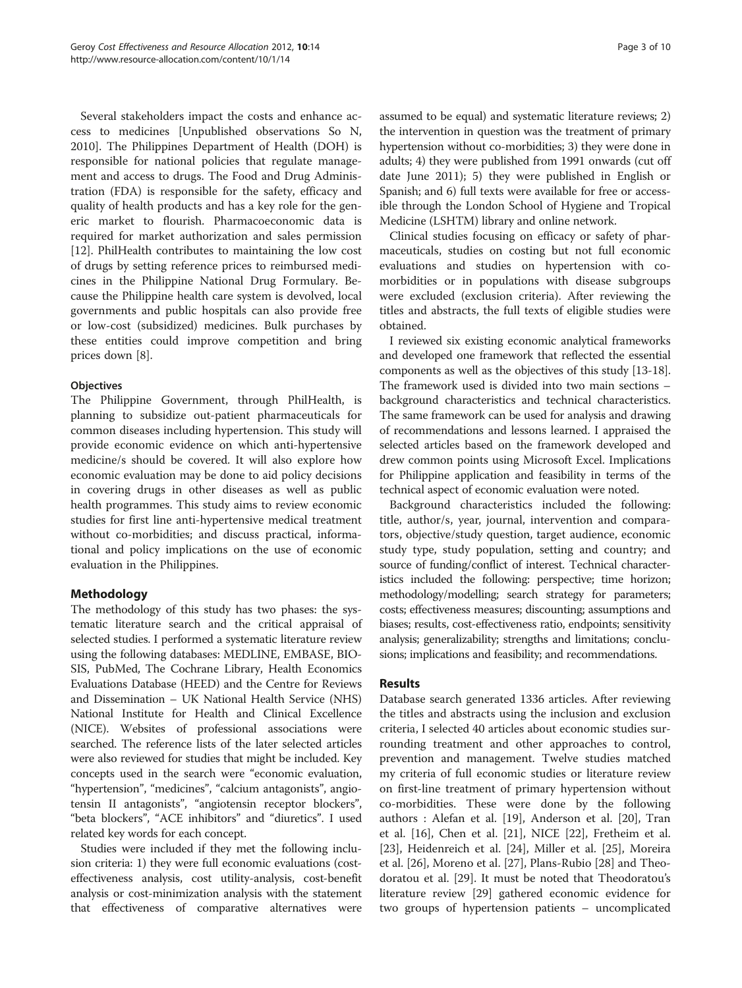Several stakeholders impact the costs and enhance access to medicines [Unpublished observations So N, 2010]. The Philippines Department of Health (DOH) is responsible for national policies that regulate management and access to drugs. The Food and Drug Administration (FDA) is responsible for the safety, efficacy and quality of health products and has a key role for the generic market to flourish. Pharmacoeconomic data is required for market authorization and sales permission [[12\]](#page-9-0). PhilHealth contributes to maintaining the low cost of drugs by setting reference prices to reimbursed medicines in the Philippine National Drug Formulary. Because the Philippine health care system is devolved, local governments and public hospitals can also provide free or low-cost (subsidized) medicines. Bulk purchases by these entities could improve competition and bring prices down [\[8](#page-8-0)].

## **Objectives**

The Philippine Government, through PhilHealth, is planning to subsidize out-patient pharmaceuticals for common diseases including hypertension. This study will provide economic evidence on which anti-hypertensive medicine/s should be covered. It will also explore how economic evaluation may be done to aid policy decisions in covering drugs in other diseases as well as public health programmes. This study aims to review economic studies for first line anti-hypertensive medical treatment without co-morbidities; and discuss practical, informational and policy implications on the use of economic evaluation in the Philippines.

## Methodology

The methodology of this study has two phases: the systematic literature search and the critical appraisal of selected studies. I performed a systematic literature review using the following databases: MEDLINE, EMBASE, BIO-SIS, PubMed, The Cochrane Library, Health Economics Evaluations Database (HEED) and the Centre for Reviews and Dissemination – UK National Health Service (NHS) National Institute for Health and Clinical Excellence (NICE). Websites of professional associations were searched. The reference lists of the later selected articles were also reviewed for studies that might be included. Key concepts used in the search were "economic evaluation, "hypertension", "medicines", "calcium antagonists", angiotensin II antagonists", "angiotensin receptor blockers", "beta blockers", "ACE inhibitors" and "diuretics". I used related key words for each concept.

Studies were included if they met the following inclusion criteria: 1) they were full economic evaluations (costeffectiveness analysis, cost utility-analysis, cost-benefit analysis or cost-minimization analysis with the statement that effectiveness of comparative alternatives were

assumed to be equal) and systematic literature reviews; 2) the intervention in question was the treatment of primary hypertension without co-morbidities; 3) they were done in adults; 4) they were published from 1991 onwards (cut off date June 2011); 5) they were published in English or Spanish; and 6) full texts were available for free or accessible through the London School of Hygiene and Tropical Medicine (LSHTM) library and online network.

Clinical studies focusing on efficacy or safety of pharmaceuticals, studies on costing but not full economic evaluations and studies on hypertension with comorbidities or in populations with disease subgroups were excluded (exclusion criteria). After reviewing the titles and abstracts, the full texts of eligible studies were obtained.

I reviewed six existing economic analytical frameworks and developed one framework that reflected the essential components as well as the objectives of this study [[13](#page-9-0)-[18](#page-9-0)]. The framework used is divided into two main sections – background characteristics and technical characteristics. The same framework can be used for analysis and drawing of recommendations and lessons learned. I appraised the selected articles based on the framework developed and drew common points using Microsoft Excel. Implications for Philippine application and feasibility in terms of the technical aspect of economic evaluation were noted.

Background characteristics included the following: title, author/s, year, journal, intervention and comparators, objective/study question, target audience, economic study type, study population, setting and country; and source of funding/conflict of interest. Technical characteristics included the following: perspective; time horizon; methodology/modelling; search strategy for parameters; costs; effectiveness measures; discounting; assumptions and biases; results, cost-effectiveness ratio, endpoints; sensitivity analysis; generalizability; strengths and limitations; conclusions; implications and feasibility; and recommendations.

## Results

Database search generated 1336 articles. After reviewing the titles and abstracts using the inclusion and exclusion criteria, I selected 40 articles about economic studies surrounding treatment and other approaches to control, prevention and management. Twelve studies matched my criteria of full economic studies or literature review on first-line treatment of primary hypertension without co-morbidities. These were done by the following authors : Alefan et al. [[19](#page-9-0)], Anderson et al. [\[20](#page-9-0)], Tran et al. [\[16\]](#page-9-0), Chen et al. [\[21\]](#page-9-0), NICE [[22\]](#page-9-0), Fretheim et al. [[23\]](#page-9-0), Heidenreich et al. [[24](#page-9-0)], Miller et al. [\[25](#page-9-0)], Moreira et al. [[26](#page-9-0)], Moreno et al. [[27\]](#page-9-0), Plans-Rubio [[28](#page-9-0)] and Theodoratou et al. [\[29](#page-9-0)]. It must be noted that Theodoratou's literature review [\[29](#page-9-0)] gathered economic evidence for two groups of hypertension patients – uncomplicated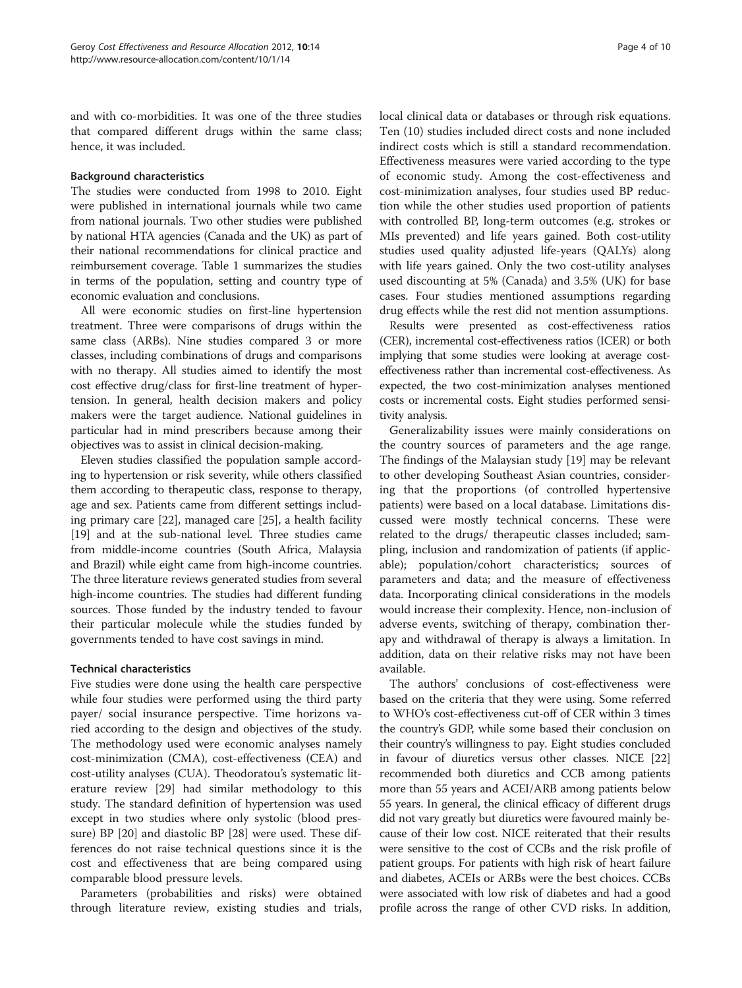and with co-morbidities. It was one of the three studies that compared different drugs within the same class; hence, it was included.

## Background characteristics

The studies were conducted from 1998 to 2010. Eight were published in international journals while two came from national journals. Two other studies were published by national HTA agencies (Canada and the UK) as part of their national recommendations for clinical practice and reimbursement coverage. Table [1](#page-4-0) summarizes the studies in terms of the population, setting and country type of economic evaluation and conclusions.

All were economic studies on first-line hypertension treatment. Three were comparisons of drugs within the same class (ARBs). Nine studies compared 3 or more classes, including combinations of drugs and comparisons with no therapy. All studies aimed to identify the most cost effective drug/class for first-line treatment of hypertension. In general, health decision makers and policy makers were the target audience. National guidelines in particular had in mind prescribers because among their objectives was to assist in clinical decision-making.

Eleven studies classified the population sample according to hypertension or risk severity, while others classified them according to therapeutic class, response to therapy, age and sex. Patients came from different settings including primary care [\[22\]](#page-9-0), managed care [[25](#page-9-0)], a health facility [[19](#page-9-0)] and at the sub-national level. Three studies came from middle-income countries (South Africa, Malaysia and Brazil) while eight came from high-income countries. The three literature reviews generated studies from several high-income countries. The studies had different funding sources. Those funded by the industry tended to favour their particular molecule while the studies funded by governments tended to have cost savings in mind.

## Technical characteristics

Five studies were done using the health care perspective while four studies were performed using the third party payer/ social insurance perspective. Time horizons varied according to the design and objectives of the study. The methodology used were economic analyses namely cost-minimization (CMA), cost-effectiveness (CEA) and cost-utility analyses (CUA). Theodoratou's systematic literature review [[29\]](#page-9-0) had similar methodology to this study. The standard definition of hypertension was used except in two studies where only systolic (blood pressure) BP [[20\]](#page-9-0) and diastolic BP [\[28](#page-9-0)] were used. These differences do not raise technical questions since it is the cost and effectiveness that are being compared using comparable blood pressure levels.

Parameters (probabilities and risks) were obtained through literature review, existing studies and trials, local clinical data or databases or through risk equations. Ten (10) studies included direct costs and none included indirect costs which is still a standard recommendation. Effectiveness measures were varied according to the type of economic study. Among the cost-effectiveness and cost-minimization analyses, four studies used BP reduction while the other studies used proportion of patients with controlled BP, long-term outcomes (e.g. strokes or MIs prevented) and life years gained. Both cost-utility studies used quality adjusted life-years (QALYs) along with life years gained. Only the two cost-utility analyses used discounting at 5% (Canada) and 3.5% (UK) for base cases. Four studies mentioned assumptions regarding drug effects while the rest did not mention assumptions.

Results were presented as cost-effectiveness ratios (CER), incremental cost-effectiveness ratios (ICER) or both implying that some studies were looking at average costeffectiveness rather than incremental cost-effectiveness. As expected, the two cost-minimization analyses mentioned costs or incremental costs. Eight studies performed sensitivity analysis.

Generalizability issues were mainly considerations on the country sources of parameters and the age range. The findings of the Malaysian study [[19\]](#page-9-0) may be relevant to other developing Southeast Asian countries, considering that the proportions (of controlled hypertensive patients) were based on a local database. Limitations discussed were mostly technical concerns. These were related to the drugs/ therapeutic classes included; sampling, inclusion and randomization of patients (if applicable); population/cohort characteristics; sources of parameters and data; and the measure of effectiveness data. Incorporating clinical considerations in the models would increase their complexity. Hence, non-inclusion of adverse events, switching of therapy, combination therapy and withdrawal of therapy is always a limitation. In addition, data on their relative risks may not have been available.

The authors' conclusions of cost-effectiveness were based on the criteria that they were using. Some referred to WHO's cost-effectiveness cut-off of CER within 3 times the country's GDP, while some based their conclusion on their country's willingness to pay. Eight studies concluded in favour of diuretics versus other classes. NICE [[22](#page-9-0)] recommended both diuretics and CCB among patients more than 55 years and ACEI/ARB among patients below 55 years. In general, the clinical efficacy of different drugs did not vary greatly but diuretics were favoured mainly because of their low cost. NICE reiterated that their results were sensitive to the cost of CCBs and the risk profile of patient groups. For patients with high risk of heart failure and diabetes, ACEIs or ARBs were the best choices. CCBs were associated with low risk of diabetes and had a good profile across the range of other CVD risks. In addition,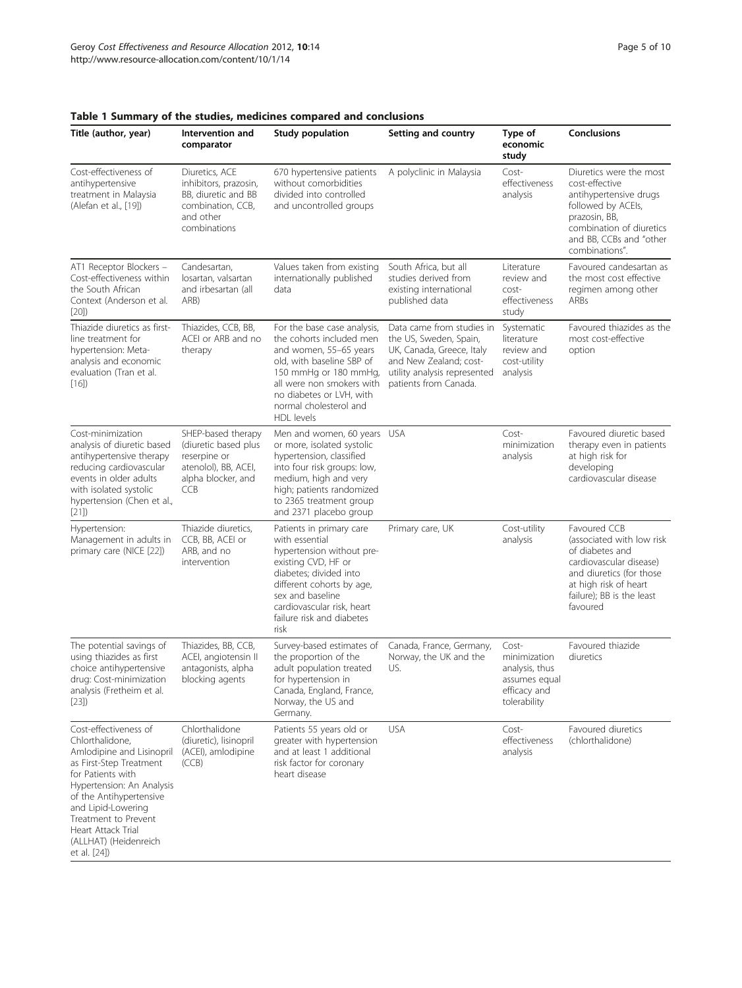| Title (author, year)                                                                                                                                                                                                                                                                       | Intervention and<br>comparator                                                                                         | Study population                                                                                                                                                                                                                             | Setting and country                                                                                                                                                 | Type of<br>economic<br>study                                                             | Conclusions                                                                                                                                                                           |
|--------------------------------------------------------------------------------------------------------------------------------------------------------------------------------------------------------------------------------------------------------------------------------------------|------------------------------------------------------------------------------------------------------------------------|----------------------------------------------------------------------------------------------------------------------------------------------------------------------------------------------------------------------------------------------|---------------------------------------------------------------------------------------------------------------------------------------------------------------------|------------------------------------------------------------------------------------------|---------------------------------------------------------------------------------------------------------------------------------------------------------------------------------------|
| Cost-effectiveness of<br>antihypertensive<br>treatment in Malaysia<br>(Alefan et al., [19])                                                                                                                                                                                                | Diuretics, ACE<br>inhibitors, prazosin,<br>BB, diuretic and BB<br>combination, CCB,<br>and other<br>combinations       | 670 hypertensive patients<br>without comorbidities<br>divided into controlled<br>and uncontrolled groups                                                                                                                                     | A polyclinic in Malaysia                                                                                                                                            | Cost-<br>effectiveness<br>analysis                                                       | Diuretics were the most<br>cost-effective<br>antihypertensive drugs<br>followed by ACEIs,<br>prazosin, BB,<br>combination of diuretics<br>and BB, CCBs and "other<br>combinations".   |
| AT1 Receptor Blockers -<br>Cost-effectiveness within<br>the South African<br>Context (Anderson et al.<br>[20]                                                                                                                                                                              | Candesartan,<br>losartan, valsartan<br>and irbesartan (all<br>ARB)                                                     | Values taken from existing<br>internationally published<br>data                                                                                                                                                                              | South Africa, but all<br>studies derived from<br>existing international<br>published data                                                                           | Literature<br>review and<br>cost-<br>effectiveness<br>study                              | Favoured candesartan as<br>the most cost effective<br>regimen among other<br>ARBs                                                                                                     |
| Thiazide diuretics as first-<br>line treatment for<br>hypertension: Meta-<br>analysis and economic<br>evaluation (Tran et al.<br>$[16]$                                                                                                                                                    | Thiazides, CCB, BB,<br>ACEI or ARB and no<br>therapy                                                                   | For the base case analysis,<br>the cohorts included men<br>and women, 55-65 years<br>old, with baseline SBP of<br>150 mmHg or 180 mmHg,<br>all were non smokers with<br>no diabetes or LVH, with<br>normal cholesterol and<br>HDL levels     | Data came from studies in<br>the US, Sweden, Spain,<br>UK, Canada, Greece, Italy<br>and New Zealand; cost-<br>utility analysis represented<br>patients from Canada. | Systematic<br>literature<br>review and<br>cost-utility<br>analysis                       | Favoured thiazides as the<br>most cost-effective<br>option                                                                                                                            |
| Cost-minimization<br>analysis of diuretic based<br>antihypertensive therapy<br>reducing cardiovascular<br>events in older adults<br>with isolated systolic<br>hypertension (Chen et al.,<br>[21]                                                                                           | SHEP-based therapy<br>(diuretic based plus<br>reserpine or<br>atenolol), BB, ACEI,<br>alpha blocker, and<br><b>CCB</b> | Men and women, 60 years USA<br>or more, isolated systolic<br>hypertension, classified<br>into four risk groups: low,<br>medium, high and very<br>high; patients randomized<br>to 2365 treatment group<br>and 2371 placebo group              |                                                                                                                                                                     | Cost-<br>minimization<br>analysis                                                        | Favoured diuretic based<br>therapy even in patients<br>at high risk for<br>developing<br>cardiovascular disease                                                                       |
| Hypertension:<br>Management in adults in<br>primary care (NICE [22])                                                                                                                                                                                                                       | Thiazide diuretics,<br>CCB, BB, ACEI or<br>ARB, and no<br>intervention                                                 | Patients in primary care<br>with essential<br>hypertension without pre-<br>existing CVD, HF or<br>diabetes; divided into<br>different cohorts by age,<br>sex and baseline<br>cardiovascular risk, heart<br>failure risk and diabetes<br>risk | Primary care, UK                                                                                                                                                    | Cost-utility<br>analysis                                                                 | Favoured CCB<br>(associated with low risk<br>of diabetes and<br>cardiovascular disease)<br>and diuretics (for those<br>at high risk of heart<br>failure); BB is the least<br>favoured |
| The potential savings of<br>using thiazides as first<br>choice antihypertensive<br>drug: Cost-minimization<br>analysis (Fretheim et al.<br>[23]                                                                                                                                            | Thiazides, BB, CCB,<br>ACEI, angiotensin II<br>antagonists, alpha<br>blocking agents                                   | Survey-based estimates of<br>the proportion of the<br>adult population treated<br>for hypertension in<br>Canada, England, France,<br>Norway, the US and<br>Germany.                                                                          | Canada, France, Germany,<br>Norway, the UK and the<br>US.                                                                                                           | Cost-<br>minimization<br>analysis, thus<br>assumes equal<br>efficacy and<br>tolerability | Favoured thiazide<br>diuretics                                                                                                                                                        |
| Cost-effectiveness of<br>Chlorthalidone,<br>Amlodipine and Lisinopril<br>as First-Step Treatment<br>for Patients with<br>Hypertension: An Analysis<br>of the Antihypertensive<br>and Lipid-Lowering<br>Treatment to Prevent<br>Heart Attack Trial<br>(ALLHAT) (Heidenreich<br>et al. [24]) | Chlorthalidone<br>(diuretic), lisinopril<br>(ACEI), amlodipine<br>(CCB)                                                | Patients 55 years old or<br>greater with hypertension<br>and at least 1 additional<br>risk factor for coronary<br>heart disease                                                                                                              | <b>USA</b>                                                                                                                                                          | Cost-<br>effectiveness<br>analysis                                                       | Favoured diuretics<br>(chlorthalidone)                                                                                                                                                |

## <span id="page-4-0"></span>Table 1 Summary of the studies, medicines compared and conclusions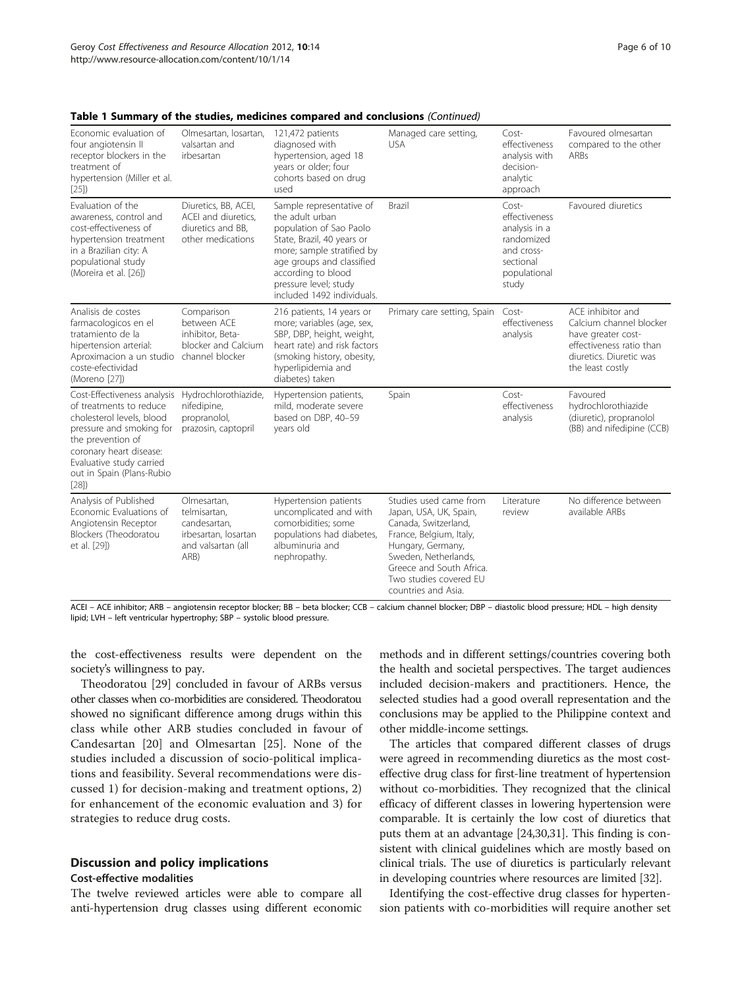| Economic evaluation of<br>four angiotensin II<br>receptor blockers in the<br>treatment of<br>hypertension (Miller et al.<br>[25]                                                                                                                      | Olmesartan, losartan,<br>valsartan and<br>irbesartan                                              | 121,472 patients<br>diagnosed with<br>hypertension, aged 18<br>years or older; four<br>cohorts based on drug<br>used                                                                                                                         | Managed care setting,<br><b>USA</b>                                                                                                                                                                                           | Cost-<br>effectiveness<br>analysis with<br>decision-<br>analytic<br>approach                                | Favoured olmesartan<br>compared to the other<br>ARBs                                                                                          |  |  |  |  |
|-------------------------------------------------------------------------------------------------------------------------------------------------------------------------------------------------------------------------------------------------------|---------------------------------------------------------------------------------------------------|----------------------------------------------------------------------------------------------------------------------------------------------------------------------------------------------------------------------------------------------|-------------------------------------------------------------------------------------------------------------------------------------------------------------------------------------------------------------------------------|-------------------------------------------------------------------------------------------------------------|-----------------------------------------------------------------------------------------------------------------------------------------------|--|--|--|--|
| Evaluation of the<br>awareness, control and<br>cost-effectiveness of<br>hypertension treatment<br>in a Brazilian city: A<br>populational study<br>(Moreira et al. [26])                                                                               | Diuretics, BB, ACEI,<br>ACEI and diuretics,<br>diuretics and BB.<br>other medications             | Sample representative of<br>the adult urban<br>population of Sao Paolo<br>State, Brazil, 40 years or<br>more; sample stratified by<br>age groups and classified<br>according to blood<br>pressure level; study<br>included 1492 individuals. | <b>Brazil</b>                                                                                                                                                                                                                 | $Cost-$<br>effectiveness<br>analysis in a<br>randomized<br>and cross-<br>sectional<br>populational<br>study | Favoured diuretics                                                                                                                            |  |  |  |  |
| Analisis de costes<br>farmacologicos en el<br>tratamiento de la<br>hipertension arterial:<br>Aproximacion a un studio channel blocker<br>coste-efectividad<br>(Moreno [27])                                                                           | Comparison<br>between ACE<br>inhibitor, Beta-<br>blocker and Calcium                              | 216 patients, 14 years or<br>more; variables (age, sex,<br>SBP, DBP, height, weight,<br>heart rate) and risk factors<br>(smoking history, obesity,<br>hyperlipidemia and<br>diabetes) taken                                                  | Primary care setting, Spain                                                                                                                                                                                                   | Cost-<br>effectiveness<br>analysis                                                                          | ACE inhibitor and<br>Calcium channel blocker<br>have greater cost-<br>effectiveness ratio than<br>diuretics. Diuretic was<br>the least costly |  |  |  |  |
| Cost-Effectiveness analysis Hydrochlorothiazide,<br>of treatments to reduce<br>cholesterol levels, blood<br>pressure and smoking for<br>the prevention of<br>coronary heart disease:<br>Evaluative study carried<br>out in Spain (Plans-Rubio<br>[28] | nifedipine,<br>propranolol,<br>prazosin, captopril                                                | Hypertension patients,<br>mild, moderate severe<br>based on DBP, 40-59<br>years old                                                                                                                                                          | Spain                                                                                                                                                                                                                         | Cost-<br>effectiveness<br>analysis                                                                          | Favoured<br>hydrochlorothiazide<br>(diuretic), propranolol<br>(BB) and nifedipine (CCB)                                                       |  |  |  |  |
| Analysis of Published<br>Economic Evaluations of<br>Angiotensin Receptor<br>Blockers (Theodoratou<br>et al. [29])                                                                                                                                     | Olmesartan,<br>telmisartan.<br>candesartan,<br>irbesartan, losartan<br>and valsartan (all<br>ARB) | Hypertension patients<br>uncomplicated and with<br>comorbidities; some<br>populations had diabetes,<br>albuminuria and<br>nephropathy.                                                                                                       | Studies used came from<br>Japan, USA, UK, Spain,<br>Canada, Switzerland,<br>France, Belgium, Italy,<br>Hungary, Germany,<br>Sweden, Netherlands,<br>Greece and South Africa.<br>Two studies covered EU<br>countries and Asia. | Literature<br>review                                                                                        | No difference between<br>available ARBs                                                                                                       |  |  |  |  |

### Table 1 Summary of the studies, medicines compared and conclusions (Continued)

ACEI – ACE inhibitor; ARB – angiotensin receptor blocker; BB – beta blocker; CCB – calcium channel blocker; DBP – diastolic blood pressure; HDL – high density lipid; LVH – left ventricular hypertrophy; SBP – systolic blood pressure.

the cost-effectiveness results were dependent on the society's willingness to pay.

Theodoratou [[29](#page-9-0)] concluded in favour of ARBs versus other classes when co-morbidities are considered. Theodoratou showed no significant difference among drugs within this class while other ARB studies concluded in favour of Candesartan [\[20](#page-9-0)] and Olmesartan [\[25](#page-9-0)]. None of the studies included a discussion of socio-political implications and feasibility. Several recommendations were discussed 1) for decision-making and treatment options, 2) for enhancement of the economic evaluation and 3) for strategies to reduce drug costs.

# Discussion and policy implications

#### Cost-effective modalities

The twelve reviewed articles were able to compare all anti-hypertension drug classes using different economic

methods and in different settings/countries covering both the health and societal perspectives. The target audiences included decision-makers and practitioners. Hence, the selected studies had a good overall representation and the conclusions may be applied to the Philippine context and other middle-income settings.

The articles that compared different classes of drugs were agreed in recommending diuretics as the most costeffective drug class for first-line treatment of hypertension without co-morbidities. They recognized that the clinical efficacy of different classes in lowering hypertension were comparable. It is certainly the low cost of diuretics that puts them at an advantage [[24,30,31\]](#page-9-0). This finding is consistent with clinical guidelines which are mostly based on clinical trials. The use of diuretics is particularly relevant in developing countries where resources are limited [[32](#page-9-0)].

Identifying the cost-effective drug classes for hypertension patients with co-morbidities will require another set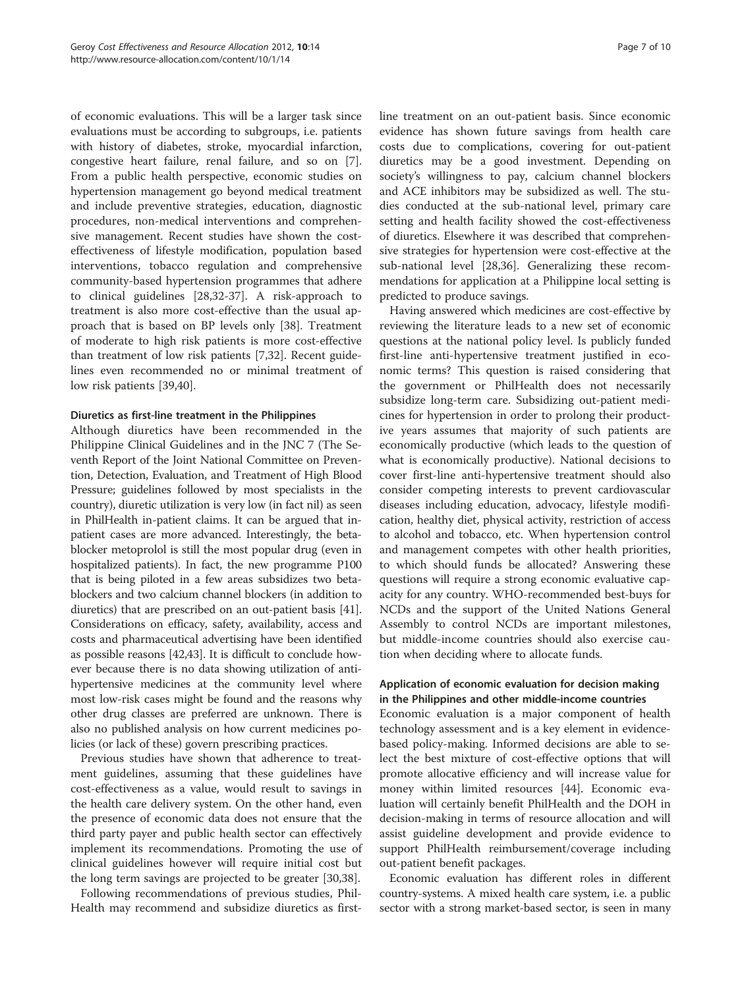of economic evaluations. This will be a larger task since evaluations must be according to subgroups, i.e. patients with history of diabetes, stroke, myocardial infarction, congestive heart failure, renal failure, and so on [\[7](#page-8-0)]. From a public health perspective, economic studies on hypertension management go beyond medical treatment and include preventive strategies, education, diagnostic procedures, non-medical interventions and comprehensive management. Recent studies have shown the costeffectiveness of lifestyle modification, population based interventions, tobacco regulation and comprehensive community-based hypertension programmes that adhere to clinical guidelines [\[28,32](#page-9-0)-[37](#page-9-0)]. A risk-approach to treatment is also more cost-effective than the usual approach that is based on BP levels only [[38\]](#page-9-0). Treatment of moderate to high risk patients is more cost-effective than treatment of low risk patients [[7,](#page-8-0)[32\]](#page-9-0). Recent guidelines even recommended no or minimal treatment of low risk patients [\[39,40](#page-9-0)].

## Diuretics as first-line treatment in the Philippines

Although diuretics have been recommended in the Philippine Clinical Guidelines and in the JNC 7 (The Seventh Report of the Joint National Committee on Prevention, Detection, Evaluation, and Treatment of High Blood Pressure; guidelines followed by most specialists in the country), diuretic utilization is very low (in fact nil) as seen in PhilHealth in-patient claims. It can be argued that inpatient cases are more advanced. Interestingly, the betablocker metoprolol is still the most popular drug (even in hospitalized patients). In fact, the new programme P100 that is being piloted in a few areas subsidizes two betablockers and two calcium channel blockers (in addition to diuretics) that are prescribed on an out-patient basis [[41](#page-9-0)]. Considerations on efficacy, safety, availability, access and costs and pharmaceutical advertising have been identified as possible reasons [[42,43\]](#page-9-0). It is difficult to conclude however because there is no data showing utilization of antihypertensive medicines at the community level where most low-risk cases might be found and the reasons why other drug classes are preferred are unknown. There is also no published analysis on how current medicines policies (or lack of these) govern prescribing practices.

Previous studies have shown that adherence to treatment guidelines, assuming that these guidelines have cost-effectiveness as a value, would result to savings in the health care delivery system. On the other hand, even the presence of economic data does not ensure that the third party payer and public health sector can effectively implement its recommendations. Promoting the use of clinical guidelines however will require initial cost but the long term savings are projected to be greater [\[30,38](#page-9-0)].

Following recommendations of previous studies, Phil-Health may recommend and subsidize diuretics as firstline treatment on an out-patient basis. Since economic evidence has shown future savings from health care costs due to complications, covering for out-patient diuretics may be a good investment. Depending on society's willingness to pay, calcium channel blockers and ACE inhibitors may be subsidized as well. The studies conducted at the sub-national level, primary care setting and health facility showed the cost-effectiveness of diuretics. Elsewhere it was described that comprehensive strategies for hypertension were cost-effective at the sub-national level [\[28,36\]](#page-9-0). Generalizing these recommendations for application at a Philippine local setting is predicted to produce savings.

Having answered which medicines are cost-effective by reviewing the literature leads to a new set of economic questions at the national policy level. Is publicly funded first-line anti-hypertensive treatment justified in economic terms? This question is raised considering that the government or PhilHealth does not necessarily subsidize long-term care. Subsidizing out-patient medicines for hypertension in order to prolong their productive years assumes that majority of such patients are economically productive (which leads to the question of what is economically productive). National decisions to cover first-line anti-hypertensive treatment should also consider competing interests to prevent cardiovascular diseases including education, advocacy, lifestyle modification, healthy diet, physical activity, restriction of access to alcohol and tobacco, etc. When hypertension control and management competes with other health priorities, to which should funds be allocated? Answering these questions will require a strong economic evaluative capacity for any country. WHO-recommended best-buys for NCDs and the support of the United Nations General Assembly to control NCDs are important milestones, but middle-income countries should also exercise caution when deciding where to allocate funds.

# Application of economic evaluation for decision making in the Philippines and other middle-income countries

Economic evaluation is a major component of health technology assessment and is a key element in evidencebased policy-making. Informed decisions are able to select the best mixture of cost-effective options that will promote allocative efficiency and will increase value for money within limited resources [\[44](#page-9-0)]. Economic evaluation will certainly benefit PhilHealth and the DOH in decision-making in terms of resource allocation and will assist guideline development and provide evidence to support PhilHealth reimbursement/coverage including out-patient benefit packages.

Economic evaluation has different roles in different country-systems. A mixed health care system, i.e. a public sector with a strong market-based sector, is seen in many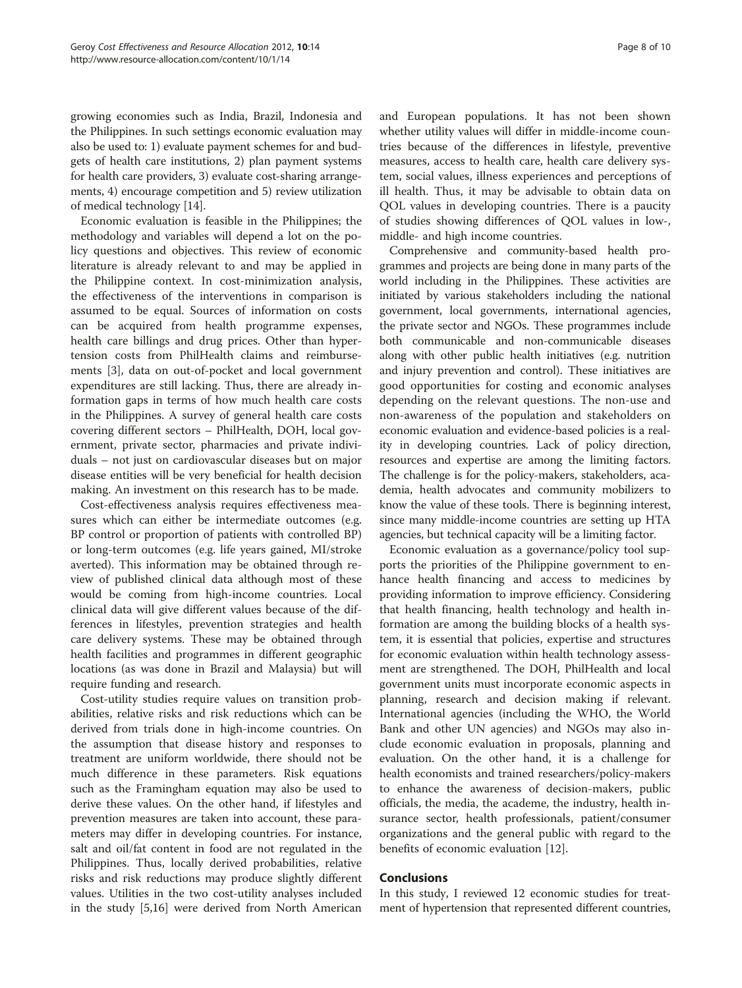growing economies such as India, Brazil, Indonesia and the Philippines. In such settings economic evaluation may also be used to: 1) evaluate payment schemes for and budgets of health care institutions, 2) plan payment systems for health care providers, 3) evaluate cost-sharing arrangements, 4) encourage competition and 5) review utilization of medical technology [\[14\]](#page-9-0).

Economic evaluation is feasible in the Philippines; the methodology and variables will depend a lot on the policy questions and objectives. This review of economic literature is already relevant to and may be applied in the Philippine context. In cost-minimization analysis, the effectiveness of the interventions in comparison is assumed to be equal. Sources of information on costs can be acquired from health programme expenses, health care billings and drug prices. Other than hypertension costs from PhilHealth claims and reimbursements [\[3\]](#page-8-0), data on out-of-pocket and local government expenditures are still lacking. Thus, there are already information gaps in terms of how much health care costs in the Philippines. A survey of general health care costs covering different sectors – PhilHealth, DOH, local government, private sector, pharmacies and private individuals – not just on cardiovascular diseases but on major disease entities will be very beneficial for health decision making. An investment on this research has to be made.

Cost-effectiveness analysis requires effectiveness measures which can either be intermediate outcomes (e.g. BP control or proportion of patients with controlled BP) or long-term outcomes (e.g. life years gained, MI/stroke averted). This information may be obtained through review of published clinical data although most of these would be coming from high-income countries. Local clinical data will give different values because of the differences in lifestyles, prevention strategies and health care delivery systems. These may be obtained through health facilities and programmes in different geographic locations (as was done in Brazil and Malaysia) but will require funding and research.

Cost-utility studies require values on transition probabilities, relative risks and risk reductions which can be derived from trials done in high-income countries. On the assumption that disease history and responses to treatment are uniform worldwide, there should not be much difference in these parameters. Risk equations such as the Framingham equation may also be used to derive these values. On the other hand, if lifestyles and prevention measures are taken into account, these parameters may differ in developing countries. For instance, salt and oil/fat content in food are not regulated in the Philippines. Thus, locally derived probabilities, relative risks and risk reductions may produce slightly different values. Utilities in the two cost-utility analyses included in the study [\[5](#page-8-0)[,16](#page-9-0)] were derived from North American

and European populations. It has not been shown whether utility values will differ in middle-income countries because of the differences in lifestyle, preventive measures, access to health care, health care delivery system, social values, illness experiences and perceptions of ill health. Thus, it may be advisable to obtain data on QOL values in developing countries. There is a paucity of studies showing differences of QOL values in low-, middle- and high income countries.

Comprehensive and community-based health programmes and projects are being done in many parts of the world including in the Philippines. These activities are initiated by various stakeholders including the national government, local governments, international agencies, the private sector and NGOs. These programmes include both communicable and non-communicable diseases along with other public health initiatives (e.g. nutrition and injury prevention and control). These initiatives are good opportunities for costing and economic analyses depending on the relevant questions. The non-use and non-awareness of the population and stakeholders on economic evaluation and evidence-based policies is a reality in developing countries. Lack of policy direction, resources and expertise are among the limiting factors. The challenge is for the policy-makers, stakeholders, academia, health advocates and community mobilizers to know the value of these tools. There is beginning interest, since many middle-income countries are setting up HTA agencies, but technical capacity will be a limiting factor.

Economic evaluation as a governance/policy tool supports the priorities of the Philippine government to enhance health financing and access to medicines by providing information to improve efficiency. Considering that health financing, health technology and health information are among the building blocks of a health system, it is essential that policies, expertise and structures for economic evaluation within health technology assessment are strengthened. The DOH, PhilHealth and local government units must incorporate economic aspects in planning, research and decision making if relevant. International agencies (including the WHO, the World Bank and other UN agencies) and NGOs may also include economic evaluation in proposals, planning and evaluation. On the other hand, it is a challenge for health economists and trained researchers/policy-makers to enhance the awareness of decision-makers, public officials, the media, the academe, the industry, health insurance sector, health professionals, patient/consumer organizations and the general public with regard to the benefits of economic evaluation [\[12\]](#page-9-0).

## Conclusions

In this study, I reviewed 12 economic studies for treatment of hypertension that represented different countries,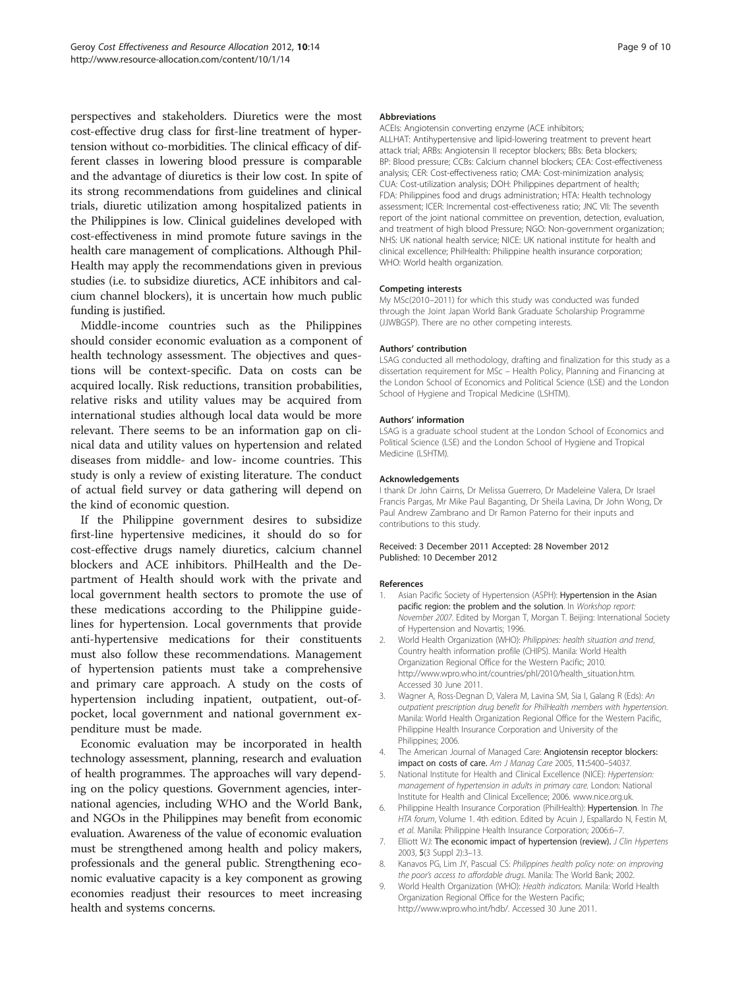<span id="page-8-0"></span>perspectives and stakeholders. Diuretics were the most cost-effective drug class for first-line treatment of hypertension without co-morbidities. The clinical efficacy of different classes in lowering blood pressure is comparable and the advantage of diuretics is their low cost. In spite of its strong recommendations from guidelines and clinical trials, diuretic utilization among hospitalized patients in the Philippines is low. Clinical guidelines developed with cost-effectiveness in mind promote future savings in the health care management of complications. Although Phil-Health may apply the recommendations given in previous studies (i.e. to subsidize diuretics, ACE inhibitors and calcium channel blockers), it is uncertain how much public funding is justified.

Middle-income countries such as the Philippines should consider economic evaluation as a component of health technology assessment. The objectives and questions will be context-specific. Data on costs can be acquired locally. Risk reductions, transition probabilities, relative risks and utility values may be acquired from international studies although local data would be more relevant. There seems to be an information gap on clinical data and utility values on hypertension and related diseases from middle- and low- income countries. This study is only a review of existing literature. The conduct of actual field survey or data gathering will depend on the kind of economic question.

If the Philippine government desires to subsidize first-line hypertensive medicines, it should do so for cost-effective drugs namely diuretics, calcium channel blockers and ACE inhibitors. PhilHealth and the Department of Health should work with the private and local government health sectors to promote the use of these medications according to the Philippine guidelines for hypertension. Local governments that provide anti-hypertensive medications for their constituents must also follow these recommendations. Management of hypertension patients must take a comprehensive and primary care approach. A study on the costs of hypertension including inpatient, outpatient, out-ofpocket, local government and national government expenditure must be made.

Economic evaluation may be incorporated in health technology assessment, planning, research and evaluation of health programmes. The approaches will vary depending on the policy questions. Government agencies, international agencies, including WHO and the World Bank, and NGOs in the Philippines may benefit from economic evaluation. Awareness of the value of economic evaluation must be strengthened among health and policy makers, professionals and the general public. Strengthening economic evaluative capacity is a key component as growing economies readjust their resources to meet increasing health and systems concerns.

#### **Abbreviations**

ACEIs: Angiotensin converting enzyme (ACE inhibitors; ALLHAT: Antihypertensive and lipid-lowering treatment to prevent heart attack trial; ARBs: Angiotensin II receptor blockers; BBs: Beta blockers; BP: Blood pressure; CCBs: Calcium channel blockers; CEA: Cost-effectiveness analysis; CER: Cost-effectiveness ratio; CMA: Cost-minimization analysis; CUA: Cost-utilization analysis; DOH: Philippines department of health; FDA: Philippines food and drugs administration; HTA: Health technology assessment; ICER: Incremental cost-effectiveness ratio; JNC VII: The seventh report of the joint national committee on prevention, detection, evaluation, and treatment of high blood Pressure; NGO: Non-government organization; NHS: UK national health service; NICE: UK national institute for health and clinical excellence; PhilHealth: Philippine health insurance corporation; WHO: World health organization.

#### Competing interests

My MSc(2010–2011) for which this study was conducted was funded through the Joint Japan World Bank Graduate Scholarship Programme (JJWBGSP). There are no other competing interests.

#### Authors' contribution

LSAG conducted all methodology, drafting and finalization for this study as a dissertation requirement for MSc – Health Policy, Planning and Financing at the London School of Economics and Political Science (LSE) and the London School of Hygiene and Tropical Medicine (LSHTM).

#### Authors' information

LSAG is a graduate school student at the London School of Economics and Political Science (LSE) and the London School of Hygiene and Tropical Medicine (LSHTM).

#### Acknowledgements

I thank Dr John Cairns, Dr Melissa Guerrero, Dr Madeleine Valera, Dr Israel Francis Pargas, Mr Mike Paul Baganting, Dr Sheila Lavina, Dr John Wong, Dr Paul Andrew Zambrano and Dr Ramon Paterno for their inputs and contributions to this study.

#### Received: 3 December 2011 Accepted: 28 November 2012 Published: 10 December 2012

#### References

- 1. Asian Pacific Society of Hypertension (ASPH): Hypertension in the Asian pacific region: the problem and the solution. In Workshop report: November 2007. Edited by Morgan T, Morgan T. Beijing: International Society of Hypertension and Novartis; 1996.
- 2. World Health Organization (WHO): Philippines: health situation and trend, Country health information profile (CHIPS). Manila: World Health Organization Regional Office for the Western Pacific; 2010. [http://www.wpro.who.int/countries/phl/2010/health\\_situation.htm.](http://www.wpro.who.int/countries/phl/2010/health_situation.htm) Accessed 30 June 2011.
- 3. Wagner A, Ross-Degnan D, Valera M, Lavina SM, Sia I, Galang R (Eds): An outpatient prescription drug benefit for PhilHealth members with hypertension. Manila: World Health Organization Regional Office for the Western Pacific, Philippine Health Insurance Corporation and University of the Philippines; 2006.
- 4. The American Journal of Managed Care: Angiotensin receptor blockers: impact on costs of care. Am J Manag Care 2005, 11:5400–54037.
- 5. National Institute for Health and Clinical Excellence (NICE): Hypertension: management of hypertension in adults in primary care. London: National Institute for Health and Clinical Excellence; 2006. [www.nice.org.uk](http://www.nice.org.uk).
- 6. Philippine Health Insurance Corporation (PhilHealth): Hypertension. In The HTA forum, Volume 1. 4th edition. Edited by Acuin J, Espallardo N, Festin M, et al. Manila: Philippine Health Insurance Corporation; 2006:6–7.
- 7. Elliott WJ: The economic impact of hypertension (review). J Clin Hypertens 2003, 5(3 Suppl 2):3–13.
- 8. Kanavos PG, Lim JY, Pascual CS: Philippines health policy note: on improving the poor's access to affordable drugs. Manila: The World Bank; 2002.
- 9. World Health Organization (WHO): Health indicators. Manila: World Health Organization Regional Office for the Western Pacific; [http://www.wpro.who.int/hdb/.](http://www.wpro.who.int/hdb/) Accessed 30 June 2011.